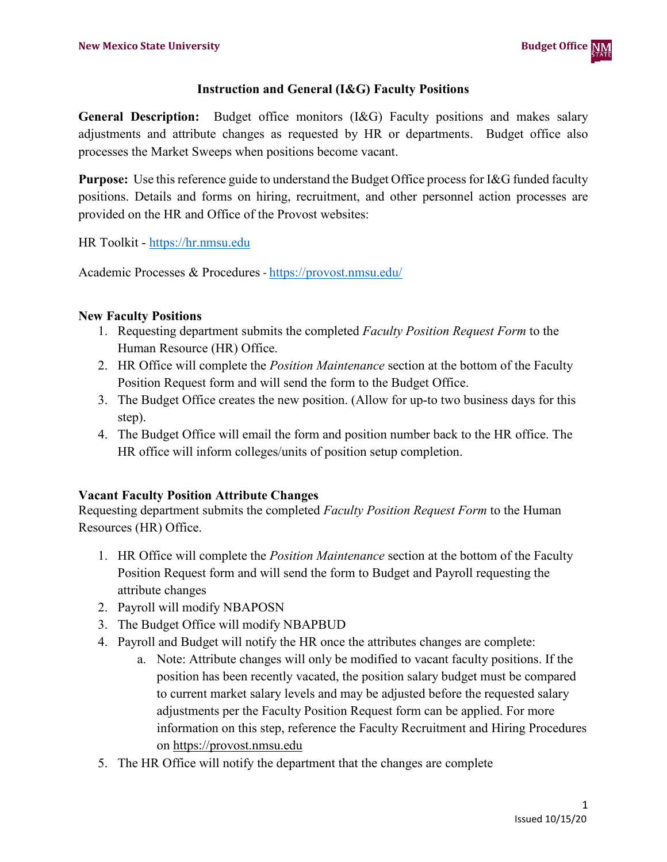## **Instruction and General (I&G) Faculty Positions**

**General Description:** Budget office monitors (I&G) Faculty positions and makes salary adjustments and attribute changes as requested by HR or departments. Budget office also processes the Market Sweeps when positions become vacant.

**Purpose:** Use this reference guide to understand the Budget Office process for I&G funded faculty positions. Details and forms on hiring, recruitment, and other personnel action processes are provided on the HR and Office of the Provost websites:

HR Toolkit - [https://hr.nmsu.edu](https://hr.nmsu.edu/)

Academic Processes & Procedures - <https://provost.nmsu.edu/>

## **New Faculty Positions**

- 1. Requesting department submits the completed *Faculty Position Request Form* to the Human Resource (HR) Office.
- 2. HR Office will complete the *Position Maintenance* section at the bottom of the Faculty Position Request form and will send the form to the Budget Office.
- 3. The Budget Office creates the new position. (Allow for up-to two business days for this step).
- 4. The Budget Office will email the form and position number back to the HR office. The HR office will inform colleges/units of position setup completion.

## **Vacant Faculty Position Attribute Changes**

Requesting department submits the completed *Faculty Position Request Form* to the Human Resources (HR) Office.

- 1. HR Office will complete the *Position Maintenance* section at the bottom of the Faculty Position Request form and will send the form to Budget and Payroll requesting the attribute changes
- 2. Payroll will modify NBAPOSN
- 3. The Budget Office will modify NBAPBUD
- 4. Payroll and Budget will notify the HR once the attributes changes are complete:
	- a. Note: Attribute changes will only be modified to vacant faculty positions. If the position has been recently vacated, the position salary budget must be compared to current market salary levels and may be adjusted before the requested salary adjustments per the Faculty Position Request form can be applied. For more information on this step, reference the Faculty Recruitment and Hiring Procedures on [https://provost.nmsu.edu](https://provost.nmsu.edu/)
- 5. The HR Office will notify the department that the changes are complete